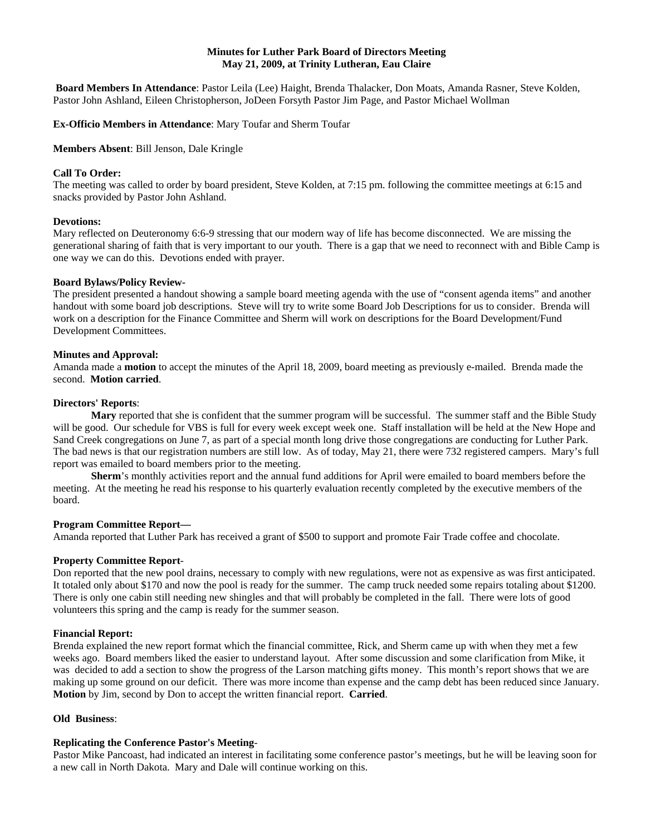# **Minutes for Luther Park Board of Directors Meeting May 21, 2009, at Trinity Lutheran, Eau Claire**

**Board Members In Attendance**: Pastor Leila (Lee) Haight, Brenda Thalacker, Don Moats, Amanda Rasner, Steve Kolden, Pastor John Ashland, Eileen Christopherson, JoDeen Forsyth Pastor Jim Page, and Pastor Michael Wollman

**Ex-Officio Members in Attendance**: Mary Toufar and Sherm Toufar

**Members Absent**: Bill Jenson, Dale Kringle

### **Call To Order:**

The meeting was called to order by board president, Steve Kolden, at 7:15 pm. following the committee meetings at 6:15 and snacks provided by Pastor John Ashland.

#### **Devotions:**

Mary reflected on Deuteronomy 6:6-9 stressing that our modern way of life has become disconnected. We are missing the generational sharing of faith that is very important to our youth. There is a gap that we need to reconnect with and Bible Camp is one way we can do this. Devotions ended with prayer.

### **Board Bylaws/Policy Review-**

The president presented a handout showing a sample board meeting agenda with the use of "consent agenda items" and another handout with some board job descriptions. Steve will try to write some Board Job Descriptions for us to consider. Brenda will work on a description for the Finance Committee and Sherm will work on descriptions for the Board Development/Fund Development Committees.

### **Minutes and Approval:**

Amanda made a **motion** to accept the minutes of the April 18, 2009, board meeting as previously e-mailed. Brenda made the second. **Motion carried**.

### **Directors' Reports**:

**Mary** reported that she is confident that the summer program will be successful. The summer staff and the Bible Study will be good. Our schedule for VBS is full for every week except week one. Staff installation will be held at the New Hope and Sand Creek congregations on June 7, as part of a special month long drive those congregations are conducting for Luther Park. The bad news is that our registration numbers are still low. As of today, May 21, there were 732 registered campers. Mary's full report was emailed to board members prior to the meeting.

**Sherm**'s monthly activities report and the annual fund additions for April were emailed to board members before the meeting. At the meeting he read his response to his quarterly evaluation recently completed by the executive members of the board.

## **Program Committee Report—**

Amanda reported that Luther Park has received a grant of \$500 to support and promote Fair Trade coffee and chocolate.

#### **Property Committee Report**-

Don reported that the new pool drains, necessary to comply with new regulations, were not as expensive as was first anticipated. It totaled only about \$170 and now the pool is ready for the summer. The camp truck needed some repairs totaling about \$1200. There is only one cabin still needing new shingles and that will probably be completed in the fall. There were lots of good volunteers this spring and the camp is ready for the summer season.

#### **Financial Report:**

Brenda explained the new report format which the financial committee, Rick, and Sherm came up with when they met a few weeks ago. Board members liked the easier to understand layout. After some discussion and some clarification from Mike, it was decided to add a section to show the progress of the Larson matching gifts money. This month's report shows that we are making up some ground on our deficit. There was more income than expense and the camp debt has been reduced since January. **Motion** by Jim, second by Don to accept the written financial report. **Carried**.

# **Old Business**:

## **Replicating the Conference Pastor's Meeting**-

Pastor Mike Pancoast, had indicated an interest in facilitating some conference pastor's meetings, but he will be leaving soon for a new call in North Dakota. Mary and Dale will continue working on this.